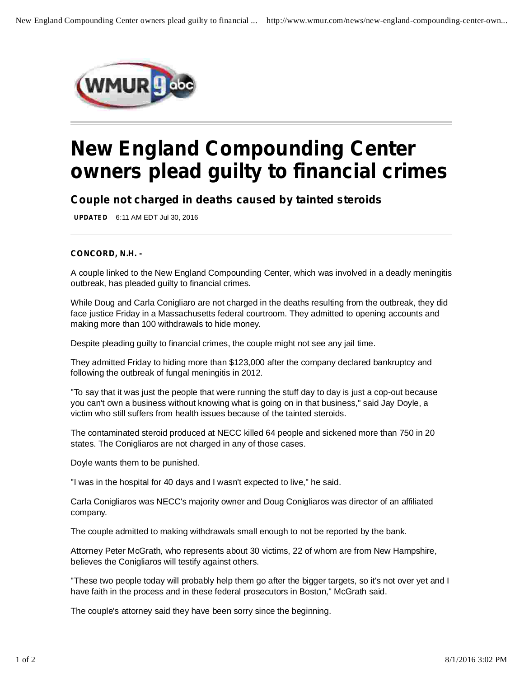

## **New England Compounding Center owners plead guilty to financial crimes**

*Couple not charged in deaths caused by tainted steroids*

**UPDATED** 6:11 AM EDT Jul 30, 2016

## **CONCORD, N.H. -**

A couple linked to the New England Compounding Center, which was involved in a deadly meningitis outbreak, has pleaded guilty to financial crimes.

While Doug and Carla Conigliaro are not charged in the deaths resulting from the outbreak, they did face justice Friday in a Massachusetts federal courtroom. They admitted to opening accounts and making more than 100 withdrawals to hide money.

Despite pleading guilty to financial crimes, the couple might not see any jail time.

They admitted Friday to hiding more than \$123,000 after the company declared bankruptcy and following the outbreak of fungal meningitis in 2012.

"To say that it was just the people that were running the stuff day to day is just a cop-out because you can't own a business without knowing what is going on in that business," said Jay Doyle, a victim who still suffers from health issues because of the tainted steroids.

The contaminated steroid produced at NECC killed 64 people and sickened more than 750 in 20 states. The Conigliaros are not charged in any of those cases.

Doyle wants them to be punished.

"I was in the hospital for 40 days and I wasn't expected to live," he said.

Carla Conigliaros was NECC's majority owner and Doug Conigliaros was director of an affiliated company.

The couple admitted to making withdrawals small enough to not be reported by the bank.

Attorney Peter McGrath, who represents about 30 victims, 22 of whom are from New Hampshire, believes the Conigliaros will testify against others.

"These two people today will probably help them go after the bigger targets, so it's not over yet and I have faith in the process and in these federal prosecutors in Boston," McGrath said.

The couple's attorney said they have been sorry since the beginning.